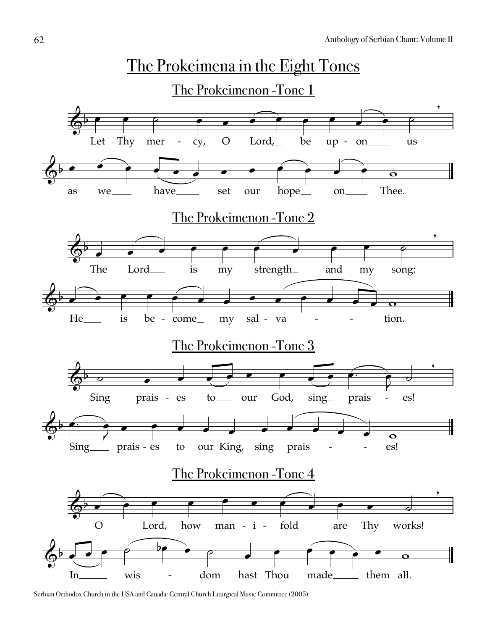

Serbian Orthodox Church in the USA and Canada: Central Church Liturgical Music Committee (2005)